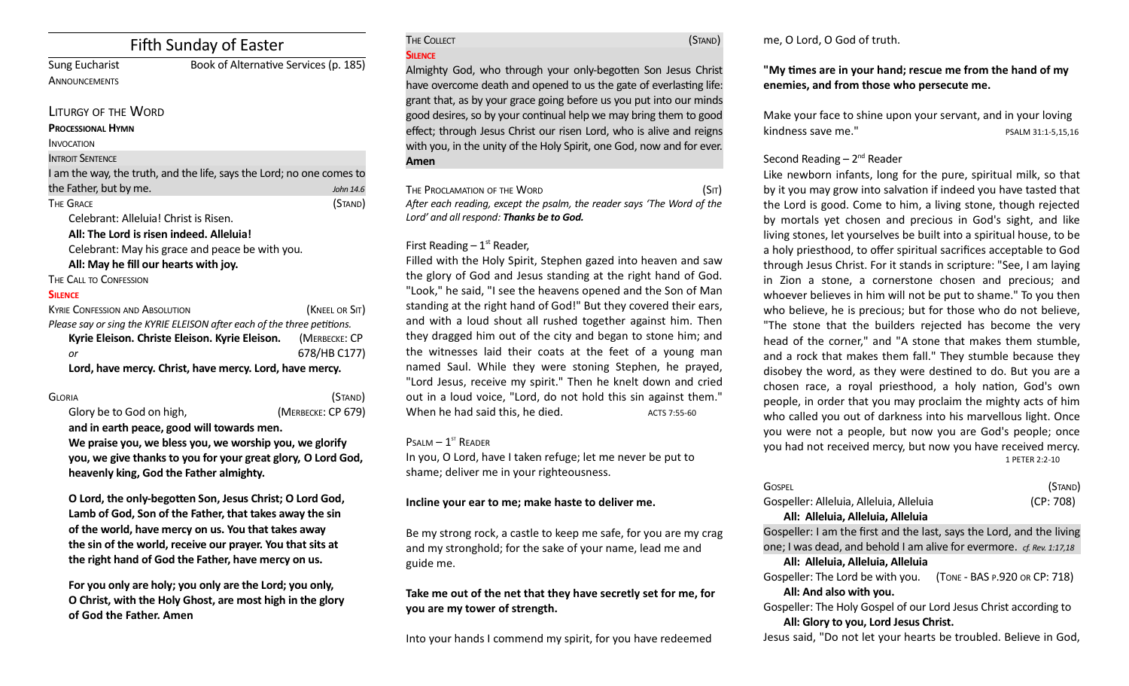# Fifh Sunday of Easter

**ANNOUNCEMENTS** 

Sung Eucharist Book of Alternative Services (p. 185)

## LITURGY OF THE WORD

#### **PROCESSIONAL HYMN**

**INVOCATION** 

**INTROIT SENTENCE** 

| I am the way, the truth, and the life, says the Lord; no one comes to |           |
|-----------------------------------------------------------------------|-----------|
| the Father, but by me.                                                | John 14.6 |
| The Grace                                                             | (STAND)   |

Celebrant: Alleluia! Christ is Risen.

**All: The Lord is risen indeed. Alleluia!**

Celebrant: May his grace and peace be with you.

**All: May he fll our hearts with joy.**

THE CALL TO CONFESSION

# **SILENCE**

| <b>KYRIE CONFESSION AND ABSOLUTION</b>                                  | (KNEEL OR SIT) |
|-------------------------------------------------------------------------|----------------|
| Please say or sing the KYRIE ELEISON after each of the three petitions. |                |
| Kyrie Eleison. Christe Eleison. Kyrie Eleison.                          | (MERBECKE: CP  |
| or                                                                      | 678/HB C177)   |
| Lord, have mercy. Christ, have mercy. Lord, have mercy.                 |                |

GLORIA (STAND)

Glory be to God on high, *(MERBECKE: CP 679)* **and in earth peace, good will towards men. We praise you, we bless you, we worship you, we glorify** 

**you, we give thanks to you for your great glory, O Lord God, heavenly king, God the Father almighty.** 

**O Lord, the only-begoten Son, Jesus Christ; O Lord God, Lamb of God, Son of the Father, that takes away the sin of the world, have mercy on us. You that takes away the sin of the world, receive our prayer. You that sits at the right hand of God the Father, have mercy on us.** 

**For you only are holy; you only are the Lord; you only, O Christ, with the Holy Ghost, are most high in the glory of God the Father. Amen**

# THE COLLECT **THE COLLECT COLLECT COLLECT COLLECT COLLECT COLLECT COLLECT COLLECT SILENCE**

Almighty God, who through your only-begotten Son Jesus Christ have overcome death and opened to us the gate of everlasting life: grant that, as by your grace going before us you put into our minds good desires, so by your contnual help we may bring them to good efect; through Jesus Christ our risen Lord, who is alive and reigns with you, in the unity of the Holy Spirit, one God, now and for ever. **Amen**

| THE PROCLAMATION OF THE WORD                                         | (SIT) |
|----------------------------------------------------------------------|-------|
| After each reading excent the nsalm the reader says 'The Word of the |       |

*Afer each reading, except the psalm, the reader says 'The Word of the Lord' and all respond: Thanks be to God.* 

# First Reading  $-1<sup>st</sup>$  Reader,

Filled with the Holy Spirit, Stephen gazed into heaven and saw the glory of God and Jesus standing at the right hand of God. "Look," he said, "I see the heavens opened and the Son of Man standing at the right hand of God!" But they covered their ears, and with a loud shout all rushed together against him. Then they dragged him out of the city and began to stone him; and the witnesses laid their coats at the feet of a young man named Saul. While they were stoning Stephen, he prayed, "Lord Jesus, receive my spirit." Then he knelt down and cried out in a loud voice, "Lord, do not hold this sin against them." When he had said this, he died. Acts 7:55-60

 $P$ SALM  $-1$ <sup>ST</sup> READER

In you, O Lord, have I taken refuge; let me never be put to shame; deliver me in your righteousness.

# **Incline your ear to me; make haste to deliver me.**

Be my strong rock, a castle to keep me safe, for you are my crag and my stronghold; for the sake of your name, lead me and guide me.

**Take me out of the net that they have secretly set for me, for you are my tower of strength.** 

Into your hands I commend my spirit, for you have redeemed

me, O Lord, O God of truth.

# **"My times are in your hand; rescue me from the hand of my enemies, and from those who persecute me.**

Make your face to shine upon your servant, and in your loving kindness save me." PSALM 31:1-5,15,16

# Second Reading  $-2^{nd}$  Reader

Like newborn infants, long for the pure, spiritual milk, so that by it you may grow into salvation if indeed you have tasted that the Lord is good. Come to him, a living stone, though rejected by mortals yet chosen and precious in God's sight, and like living stones, let yourselves be built into a spiritual house, to be a holy priesthood, to offer spiritual sacrifices acceptable to God through Jesus Christ. For it stands in scripture: "See, I am laying in Zion a stone, a cornerstone chosen and precious; and whoever believes in him will not be put to shame." To you then who believe, he is precious; but for those who do not believe, "The stone that the builders rejected has become the very head of the corner," and "A stone that makes them stumble, and a rock that makes them fall." They stumble because they disobey the word, as they were destned to do. But you are a chosen race, a royal priesthood, a holy nation, God's own people, in order that you may proclaim the mighty acts of him who called you out of darkness into his marvellous light. Once you were not a people, but now you are God's people; once you had not received mercy, but now you have received mercy. 1 PETER 2:2-10

| (Stand)                                                               |
|-----------------------------------------------------------------------|
| (CP: 708)                                                             |
|                                                                       |
| Gospeller: I am the first and the last, says the Lord, and the living |
| one; I was dead, and behold I am alive for evermore. cf. Rev. 1:17,18 |
|                                                                       |
| (TONE - BAS P.920 OR CP: 718)                                         |
|                                                                       |
| Gospeller: The Holy Gospel of our Lord Jesus Christ according to      |
|                                                                       |
| Jesus said, "Do not let your hearts be troubled. Believe in God,      |
|                                                                       |